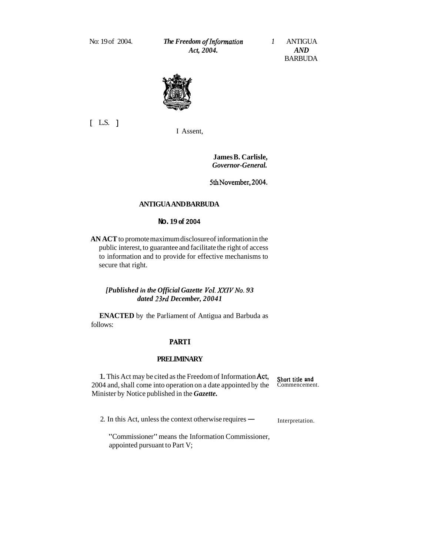No: 19 of 2004. *The Freedom ofInformation 1* ANTIGUA *Act, 2004. AND* 

BARBUDA



[ L.S. ]

I Assent,

**James B. Carlisle,**  *Governor-General.* 

5th November, 2004.

#### **ANTIGUA AND BARBUDA**

## **No. 19 of 2004**

**AN ACT** to promote maximum disclosure of information in the public interest, to guarantee and facilitate the right of access to information and to provide for effective mechanisms to secure that right.

# *[Published in the Official Gazette Vcl. XYIVNo. 93 dated 23rd December, 20041*

**ENACTED** by the Parliament of Antigua and Barbuda as follows:

#### **PARTI**

# **PRELIMINARY**

1. This Act may be cited as the Freedom of Information Act, Short title and 2004 and, shall come into operation on a date appointed by the Commencement. Minister by Notice published in the *Gazette.* 

2. In this Act, unless the context otherwise requires  $\text{---}$  Interpretation.

"Commissioner" means the Information Commissioner, appointed pursuant to Part V;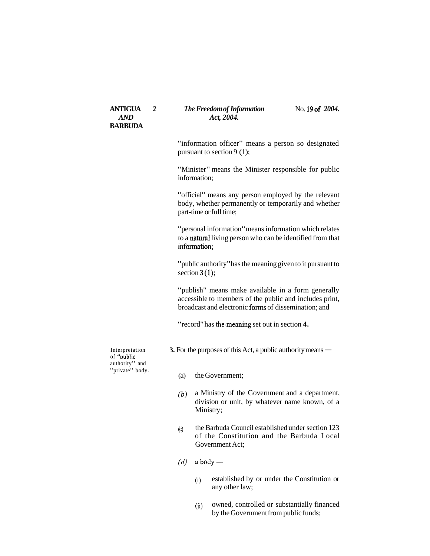# **ANTIGUA** 2 *The Freedom of Information* No. 19 of 2004.<br>AND  $Act. 2004$ . Act, 2004.

"information officer" means a person so designated pursuant to section 9 (1);

"Minister" means the Minister responsible for public information;

"official" means any person employed by the relevant body, whether permanently or temporarily and whether part-time or full time;

"personal information" means information which relates to a natural living person who can be identified from that information:

"public authority" has the meaning given to it pursuant to section **3 (1);** 

"publish" means make available in a form generally accessible to members of the public and includes print, broadcast and electronic forms of dissemination; and

"record" has thelmeaning set out in section **4.** 

authority" and<br>"private" body.

Interpretation **3.** For the purposes of this Act, a public authority means — of "public

- (a) the Government;
- *(b)* a Ministry of the Government and a department, division or unit, by whatever name known, of a Ministry;
- (c) the Barbuda Council established under section 123 of the Constitution and the Barbuda Local Government Act;
- $(d)$  a body
	- (i) established by or under the Constitution or any other law;
	- (ii) owned, controlled or substantially financed by the Government from public funds;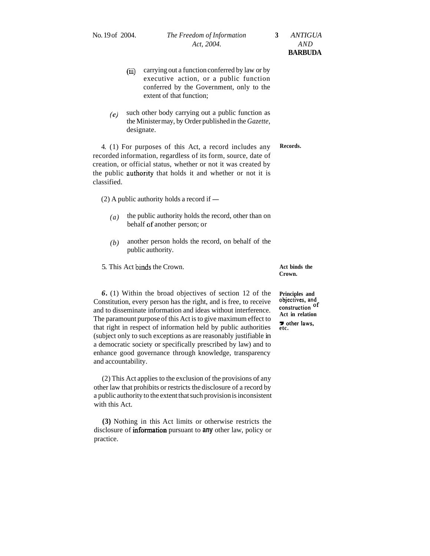- (iii) carrying out a function conferred by law or by executive action, or a public function conferred by the Government, only to the extent of that function;
- *(e)* such other body carrying out a public function as the Minister may, by Order published in the *Gazette,*  designate.

4. (1) For purposes of this Act, a record includes any **Records.**  recorded information, regardless of its form, source, date of creation, or official status, whether or not it was created by the public authority that holds it and whether or not it is classified.

 $(2)$  A public authority holds a record if  $-$ 

- $(a)$  the public authority holds the record, other than on behalf of another person; or
- *(b)* another person holds the record, on behalf of the public authority.

5. This Act binds the Crown. **Act binds the** 

**Crown.** 

**6.** (1) Within the broad objectives of section 12 of the **Principles and** Constitution, every person has the right, and is free, to receive objectives, and and to disseminate information and ideas without interference. Th Constitution, every person has the right, and is free, to receive **objectives, and** and to disseminate information and ideas without interference **construction** of and to disseminate information and ideas without interference. **Construction** the paramount purpose of information held by public authorities **a** other laws, that right in respect of information held by public authorities **etc.** (subject only to such exceptions as are reasonably justifiable in a democratic society or specifically prescribed by law) and to enhance good governance through knowledge, transparency and accountability.

(2) This Act applies to the exclusion of the provisions of any other law that prohibits or restricts the disclosure of a record by a public authority to the extent that such provision is inconsistent with this Act.

**(3)** Nothing in this Act limits or otherwise restricts the disclosure of information pursuant to **any** other law, policy or practice.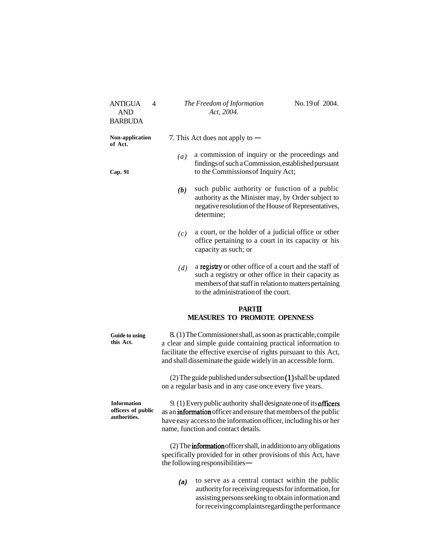| <b>ANTIGUA</b><br>4<br><b>AND</b><br><b>BARBUDA</b>      |                                   | The Freedom of Information<br>Act, 2004.                                                                                                                                                                                                                             | No.19 of 2004. |  |  |
|----------------------------------------------------------|-----------------------------------|----------------------------------------------------------------------------------------------------------------------------------------------------------------------------------------------------------------------------------------------------------------------|----------------|--|--|
| Non-application<br>of Act.                               | 7. This Act does not apply to $-$ |                                                                                                                                                                                                                                                                      |                |  |  |
| Cap. 91                                                  | (a)                               | a commission of inquiry or the proceedings and<br>findings of such a Commission, established pursuant<br>to the Commissions of Inquiry Act;                                                                                                                          |                |  |  |
|                                                          | (b)                               | such public authority or function of a public<br>authority as the Minister may, by Order subject to<br>negative resolution of the House of Representatives,<br>determine;                                                                                            |                |  |  |
|                                                          | (c)                               | a court, or the holder of a judicial office or other<br>office pertaining to a court in its capacity or his<br>capacity as such; or                                                                                                                                  |                |  |  |
|                                                          | (d)                               | a registry or other office of a court and the staff of<br>such a registry or other office in their capacity as<br>members of that staff in relation to matters pertaining<br>to the administration of the court.                                                     |                |  |  |
|                                                          |                                   | <b>PARTII</b><br><b>MEASURES TO PROMOTE OPENNESS</b>                                                                                                                                                                                                                 |                |  |  |
|                                                          |                                   |                                                                                                                                                                                                                                                                      |                |  |  |
| Guide to using<br>this Act.                              |                                   | 8. (1) The Commissioner shall, as soon as practicable, compile<br>a clear and simple guide containing practical information to<br>facilitate the effective exercise of rights pursuant to this Act,<br>and shall disseminate the guide widely in an accessible form. |                |  |  |
|                                                          |                                   | (2) The guide published under subsection (1) shall be updated<br>on a regular basis and in any case once every five years.                                                                                                                                           |                |  |  |
| <b>Information</b><br>officers of public<br>authorities. |                                   | 9. (1) Every public authority shall designate one of its <b>officers</b><br>as an <b>information</b> officer and ensure that members of the public<br>have easy access to the information officer, including his or her<br>name, function and contact details.       |                |  |  |
|                                                          |                                   | (2) The <b>information</b> officer shall, in addition to any obligations<br>specifically provided for in other provisions of this Act, have<br>the following responsibilities -                                                                                      |                |  |  |

for receiving complaints regarding the performance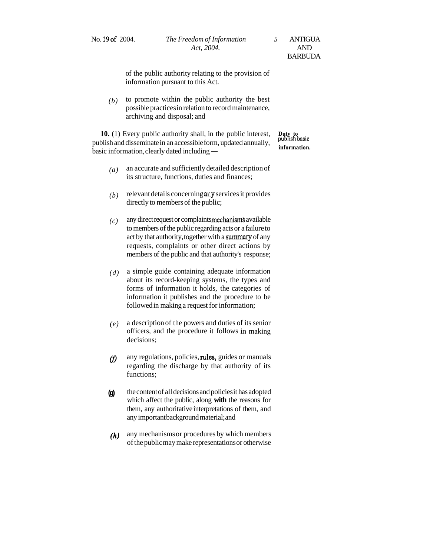of the public authority relating to the provision of information pursuant to this Act.

 $(b)$  to promote within the public authority the best possible practices in relation to record maintenance, archiving and disposal; and

**10.** (1) Every public authority shall, in the public interest, **Duty to publish basic** publish and disseminate in an accessible form, updated annually, **publish basic io.** (1) Every public authority shall, in the public interest, buty to publish and disseminate in an accessible form, updated annually, basic information, clearly dated including — information.

- *(a)* an accurate and sufficiently detailed description of its structure, functions, duties and finances;
- $(b)$  relevant details concerning any services it provides directly to members of the public;
- $(c)$  any direct request or complaints mechanisms available to members of the public regarding acts or a failure to act by that authority, together with a summary of any requests, complaints or other direct actions by members of the public and that authority's response;
- *(d)* a simple guide containing adequate information about its record-keeping systems, the types and forms of information it holds, the categories of information it publishes and the procedure to be followed in making a request for information;
- *(e)* a description of the powers and duties of its senior officers, and the procedure it follows in making decisions;
- $f$  any regulations, policies, rules, guides or manuals regarding the discharge by that authority of its functions;
- **(g)** the content of all decisions and policies it has adopted which affect the public, along **with** the reasons for them, any authoritative interpretations of them, and any important background material; and
- *(h)* any mechanisms or procedures by which members of the public may make representations or otherwise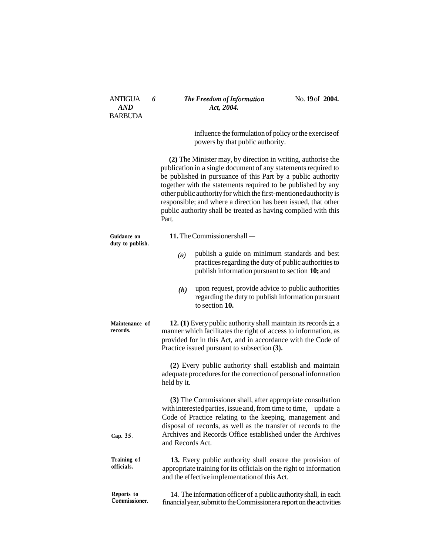## ANTIGUA **6** *The Freedom of Information* **No. 19 of 2004.**<br>*AND Act, 2004.* Act, 2004.

influence the formulation of policy or the exercise of powers by that public authority.

**(2)** The Minister may, by direction in writing, authorise the publication in a single document of any statements required to be published in pursuance of this Part by a public authority together with the statements required to be published by any other public authority for which the first-mentioned authority is responsible; and where a direction has been issued, that other public authority shall be treated as having complied with this Part.

|                                        | Part.                                                                                                                                                                                                                                                                                                                                                                                        |                                                                                                                                                                                                                                                                                                                              |  |
|----------------------------------------|----------------------------------------------------------------------------------------------------------------------------------------------------------------------------------------------------------------------------------------------------------------------------------------------------------------------------------------------------------------------------------------------|------------------------------------------------------------------------------------------------------------------------------------------------------------------------------------------------------------------------------------------------------------------------------------------------------------------------------|--|
| <b>Guidance on</b><br>duty to publish. | 11. The Commissioner shall —                                                                                                                                                                                                                                                                                                                                                                 |                                                                                                                                                                                                                                                                                                                              |  |
|                                        | (a)                                                                                                                                                                                                                                                                                                                                                                                          | publish a guide on minimum standards and best<br>practices regarding the duty of public authorities to<br>publish information pursuant to section 10; and                                                                                                                                                                    |  |
|                                        | (b)                                                                                                                                                                                                                                                                                                                                                                                          | upon request, provide advice to public authorities<br>regarding the duty to publish information pursuant<br>to section 10.                                                                                                                                                                                                   |  |
| Maintenance of<br>records.             | 12. (1) Every public authority shall maintain its records in a<br>manner which facilitates the right of access to information, as<br>provided for in this Act, and in accordance with the Code of<br>Practice issued pursuant to subsection (3).<br>(2) Every public authority shall establish and maintain<br>adequate procedures for the correction of personal information<br>held by it. |                                                                                                                                                                                                                                                                                                                              |  |
|                                        |                                                                                                                                                                                                                                                                                                                                                                                              |                                                                                                                                                                                                                                                                                                                              |  |
| Cap. 35.                               | and Records Act.                                                                                                                                                                                                                                                                                                                                                                             | (3) The Commissioner shall, after appropriate consultation<br>with interested parties, issue and, from time to time,<br>update a<br>Code of Practice relating to the keeping, management and<br>disposal of records, as well as the transfer of records to the<br>Archives and Records Office established under the Archives |  |
| Training of<br>officials.              |                                                                                                                                                                                                                                                                                                                                                                                              | 13. Every public authority shall ensure the provision of<br>appropriate training for its officials on the right to information<br>and the effective implementation of this Act.                                                                                                                                              |  |
| Reports to<br>Commissioner.            |                                                                                                                                                                                                                                                                                                                                                                                              | 14. The information officer of a public authority shall, in each<br>financial year, submit to the Commissionera report on the activities                                                                                                                                                                                     |  |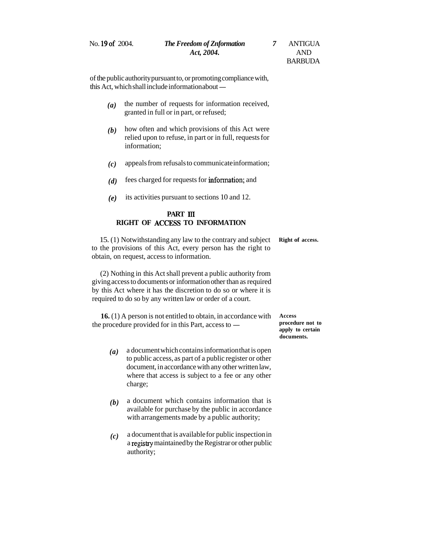of the public authority pursuant to, or promoting compliance with, of the public authority pursuant to, or promoting com<br>this Act, which shall include information about —

- *(a)* the number of requests for information received, granted in full or in part, or refused;
- *(b)* how often and which provisions of this Act were relied upon to refuse, in part or in full, requests for information;
- *(c)* appeals from refusals to communicate information;
- *(d)* fees charged for requests for information; and
- *(e)* its activities pursuant to sections 10 and 12.

## **PART III RIGHT OF ACCESS TO INFORMATION**

15. (1) Notwithstanding any law to the contrary and subject **Right of access.**  to the provisions of this Act, every person has the right to obtain, on request, access to information.

(2) Nothing in this Act shall prevent a public authority from giving access to documents or information other than as required by this Act where it has the discretion to do so or where it is required to do so by any written law or order of a court.

**16.** (1) A person is not entitled to obtain, in accordance with **Access 16.** (1) A person is not entitled to obtain, in accordance with Access the procedure provided for in this Part, access to - **procedure not to propy** to certain

- *(a)* a document which contains information that is open to public access, as part of a public register or other document, in accordance with any other written law, where that access is subject to a fee or any other charge;
- *(b)* a document which contains information that is available for purchase by the public in accordance with arrangements made by a public authority;
- *(c)* a document that is available for public inspection in a registry maintained by the Registrar or other public authority;

**apply to certain documents.**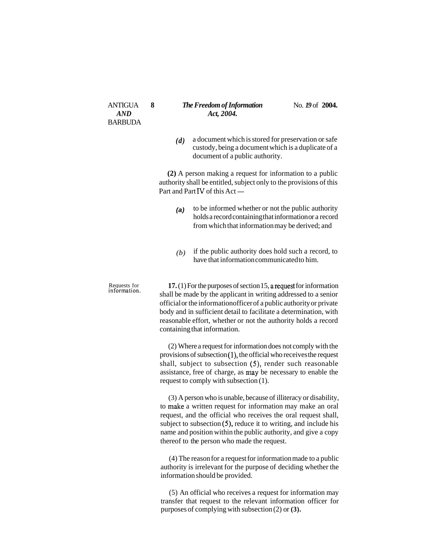#### ANTIGUA **8** *The Freedom of Information* No. 19 of 2004.<br>AND  $Act. 2004$ . Act, 2004.

*(d)* a document which is stored for preservation or safe custody, being a document which is a duplicate of a document of a public authority.

**(2)** A person making a request for information to a public authority shall be entitled, subject only to the provisions of this (2) A person making a reque<br>authority shall be entitled, subjec<br>Part and Part IV of this Act —

- **(a)** to be informed whether or not the public authority holds a record containing that information or a record from which that information may be derived; and
- *(b)* if the public authority does hold such a record, to have that information communicated to him.

Requests for **17.**  $(1)$  For the purposes of section 15, a request for information information. shall be made by the applicant in writing addressed to a senior official or the information officer of a public authority or private body and in sufficient detail to facilitate a determination, with reasonable effort, whether or not the authority holds a record containing that information.

> (2) Where a request for information does not comply with the provisions of subsection (I), the official who receives the request shall, subject to subsection (5), render such reasonable assistance, free of charge, as may be necessary to enable the request to comply with subsection (1).

> (3) A person who is unable, because of illiteracy or disability, to make a written request for information may make an oral request, and the official who receives the oral request shall, subject to subsection  $(5)$ , reduce it to writing, and include his name and position within the public authority, and give a copy thereof to the person who made the request.

> (4) The reason for a request for information made to a public authority is irrelevant for the purpose of deciding whether the information should be provided.

> (5) An official who receives a request for information may transfer that request to the relevant information officer for purposes of complying with subsection (2) or **(3).**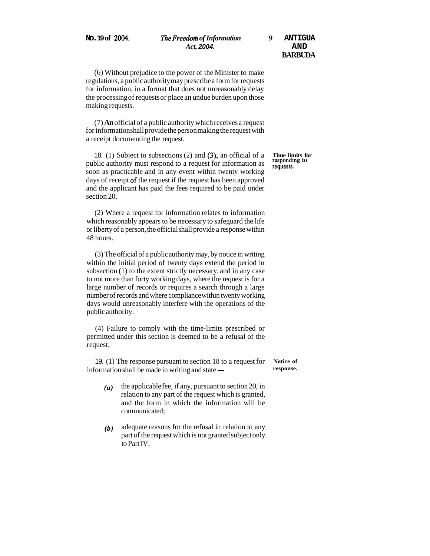(6) Without prejudice to the power of the Minister to make regulations, a public authority may prescribe a form for requests for information, in a format that does not unreasonably delay the processing of requests or place an undue burden upon those making requests.

(7) **An** official of a public authority which receives a request for information shall provide the person making the request with a receipt documenting the request.

18. (1) Subject to subsections (2) and (3), an official of a **Time limits for**  public authority must respond to a request for information as responding requests. soon as practicable and in any event within twenty working days of receipt **of** the request if the request has been approved and the applicant has paid the fees required to be paid under section 20.

(2) Where a request for information relates to information which reasonably appears to be necessary to safeguard the life or liberty of a person, the official shall provide a response within 48 hours.

(3) The official of a public authority may, by notice in writing within the initial period of twenty days extend the period in subsection (1) to the extent strictly necessary, and in any case to not more than forty working days, where the request is for a large number of records or requires a search through a large number of records and where compliance within twenty working days would unreasonably interfere with the operations of the public authority.

(4) Failure to comply with the time-limits prescribed or permitted under this section is deemed to be a refusal of the request.

19. (1) The response pursuant to section 18 to a request for **Notice of**  19. (1) The response pursuant to section 18 to a request for Notice of information shall be made in writing and state — response.

- $(a)$  the applicable fee, if any, pursuant to section 20, in relation to any part of the request which is granted, and the form in which the information will be communicated;
- *(b)* adequate reasons for the refusal in relation to any part of the request which is not granted subject only to Part IV;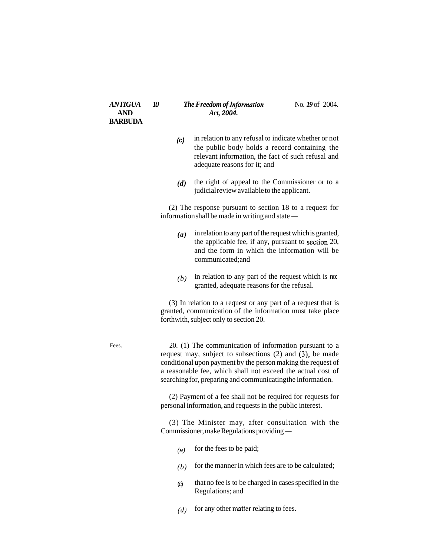#### *ANTIGUA* 10 *The Freedom of Information* No. 19 of 2004. **AND** *Act,* **2004.**

- **(c)** in relation to any refusal to indicate whether or not the public body holds a record containing the relevant information, the fact of such refusal and adequate reasons for it; and
- *(d)* the right of appeal to the Commissioner or to a judicial review available to the applicant.

(2) The response pursuant to section 18 to a request for (2) The response pursuant to section 18 to a information shall be made in writing and state  $-$ 

- *(a)* in relation to any part of the request which is granted, the applicable fee, if any, pursuant to section 20, and the form in which the information will be communicated; and
- *(b)* in relation to any part of the request which is no: granted, adequate reasons for the refusal.

(3) In relation to a request or any part of a request that is granted, communication of the information must take place forthwith, subject only to section 20.

Fees. 20. (1) The communication of information pursuant to a request may, subject to subsections (2) and (3), be made conditional upon payment by the person making the request of a reasonable fee, which shall not exceed the actual cost of searching for, preparing and communicating the information.

> (2) Payment of a fee shall not be required for requests for personal information, and requests in the public interest.

> (3) The Minister may, after consultation with the Commissioner, make Regulations providing —

- (a) for the fees to be paid;
- $(b)$  for the manner in which fees are to be calculated;
- (c) that no fee is to be charged in cases specified in the Regulations; and
- $(d)$  for any other matter relating to fees.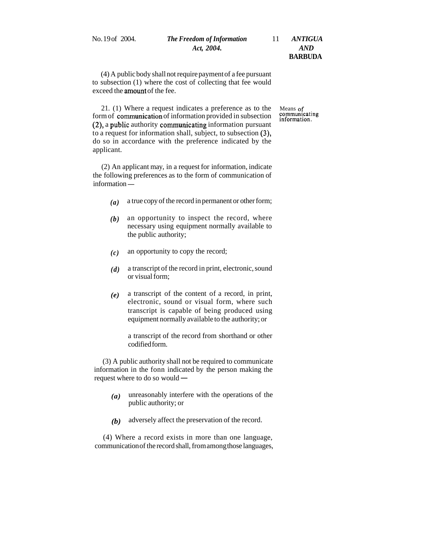# No. 19 of 2004. *The Freedom of Information* 11 *ANTIGUA Act, 2004. AND*

**BARBUDA** 

(4) A public body shall not require payment of a fee pursuant to subsection (1) where the cost of collecting that fee would exceed the amount of the fee.

21. (1) Where a request indicates a preference as to the Means of mortion of communication of information provided in subsection communicating information. form of communication of information provided in subsection  $(2)$ , a public authority communicating information pursuant to a request for information shall, subject, to subsection (3), do so in accordance with the preference indicated by the applicant.

(2) An applicant may, in a request for information, indicate the following preferences as to the form of communication of (2) An applica<br>the following pre<br>information —

- *(a)* a true copy of the record in permanent or other form;
- *(b)* an opportunity to inspect the record, where necessary using equipment normally available to the public authority;
- *(c)* an opportunity to copy the record;
- *(d)* a transcript of the record in print, electronic, sound or visual form;
- *(e)* a transcript of the content of a record, in print, electronic, sound or visual form, where such transcript is capable of being produced using equipment normally available to the authority; or

a transcript of the record from shorthand or other codified form.

(3) A public authority shall not be required to communicate information in the fonn indicated by the person making the (3) A public authority shall not b<br>information in the fonn indicated<br>request where to do so would  $-$ 

- *(a)* unreasonably interfere with the operations of the public authority; or
- *(b)* adversely affect the preservation of the record.

(4) Where a record exists in more than one language, communication of the record shall, from among those languages,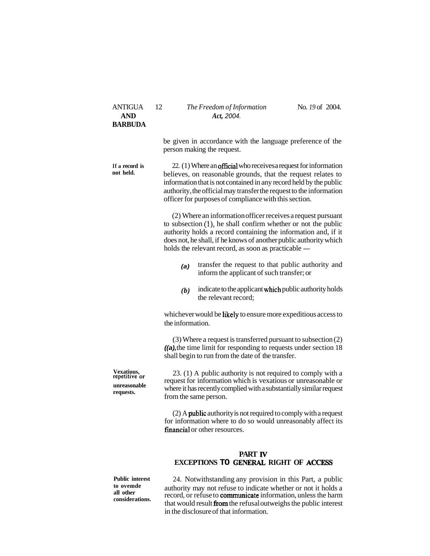| <b>ANTIGUA</b><br><b>AND</b><br><b>BARBUDA</b>           | 12                                                                                                                                                                                                                                                                                                                                     | The Freedom of Information<br>Act, 2004.                                                       | No. 19 of 2004. |  |
|----------------------------------------------------------|----------------------------------------------------------------------------------------------------------------------------------------------------------------------------------------------------------------------------------------------------------------------------------------------------------------------------------------|------------------------------------------------------------------------------------------------|-----------------|--|
|                                                          |                                                                                                                                                                                                                                                                                                                                        | be given in accordance with the language preference of the<br>person making the request.       |                 |  |
| If a record is<br>not held.                              | 22. (1) Where an official who receives a request for information<br>believes, on reasonable grounds, that the request relates to<br>information that is not contained in any record held by the public<br>authority, the official may transfer the request to the information<br>officer for purposes of compliance with this section. |                                                                                                |                 |  |
|                                                          | (2) Where an information officer receives a request pursuant<br>to subsection $(1)$ , he shall confirm whether or not the public<br>authority holds a record containing the information and, if it<br>does not, he shall, if he knows of another public authority which<br>holds the relevant record, as soon as practicable -         |                                                                                                |                 |  |
|                                                          | (a)                                                                                                                                                                                                                                                                                                                                    | transfer the request to that public authority and<br>inform the applicant of such transfer; or |                 |  |
|                                                          | (b)                                                                                                                                                                                                                                                                                                                                    | indicate to the applicant which public authority holds<br>the relevant record;                 |                 |  |
|                                                          | whichever would be likely to ensure more expeditious access to<br>the information.<br>$(3)$ Where a request is transferred pursuant to subsection $(2)$<br>$(a)$ , the time limit for responding to requests under section 18<br>shall begin to run from the date of the transfer.                                                     |                                                                                                |                 |  |
|                                                          |                                                                                                                                                                                                                                                                                                                                        |                                                                                                |                 |  |
| Vexatious,<br>repetitive or<br>unreasonable<br>requests. | 23. (1) A public authority is not required to comply with a<br>request for information which is vexatious or unreasonable or<br>where it has recently complied with a substantially similar request<br>from the same person.                                                                                                           |                                                                                                |                 |  |
|                                                          | $(2)$ A public authority is not required to comply with a request<br>for information where to do so would unreasonably affect its<br>financial or other resources.                                                                                                                                                                     |                                                                                                |                 |  |
|                                                          |                                                                                                                                                                                                                                                                                                                                        | <b>PART IV</b><br>EXCEPTIONS TO GENERAL RIGHT OF ACCESS                                        |                 |  |

**Public interest** 24. Notwithstanding any provision in this Part, a public **to ovemde** authority may not refuse to indicate whether or not it holds a **all other**  all other record, or refuse to **communicate** information, unless the harm considerations.<br>that would result **from** the refusal outweighs the public interest in the disclosure of that information.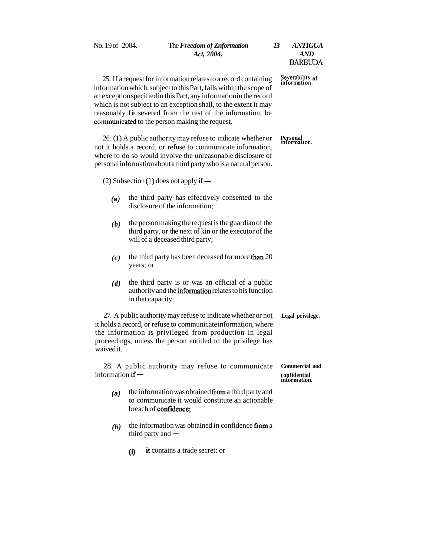No. 19 of 2004. The *Freedom of Znformation 13 ANTIGUA Act, 2004. AND*  **BARBUDA** 25. If a request for information relates to a record containing **Severability of**  information which, subject to this Part, falls within the scope of an exception specified in this Part, any information in the record which is not subject to an exception shall, to the extent it may reasonably Lie severed from the rest of the information, be communicated to the person making the request. 26. (1) A public authority may refuse to indicate whether or **Personal**  not it holds a record, or refuse to communicate information, **information.**  where to do so would involve the unreasonable disclosure of personal information about a third party who is a natural person. (2) Subsection (1) does not apply if  $-$ **(a)** the third party has effectively consented to the disclosure of the information;  **the person making the request is the guardian of the** third party, or the next of kin or the executor of the will of a deceased third party;  $(c)$  the third party has been deceased for more than 20 years; or *(d)* the third party is or was an official of a public authority and the information relates to his function in that capacity. 27. A public authority may refuse to indicate whether or not **Legal privilege.**  it holds a record, or refuse to communicate information, where the information is privileged from production in legal proceedings, unless the person entitled to the privilege has waived it. 28. A public authority may refuse to communicate **Commercial and**  28. A public authority may refuse to communicate **Commercial**<br>information if –<br>information **information. (a)** the information was obtained fiom a third party and to communicate it would constitute an actionable breach of confidence;  **the information was obtained in confidence from a** the information was  $\theta$  third party and  $\theta$ 

**(9** it contains a trade secret; or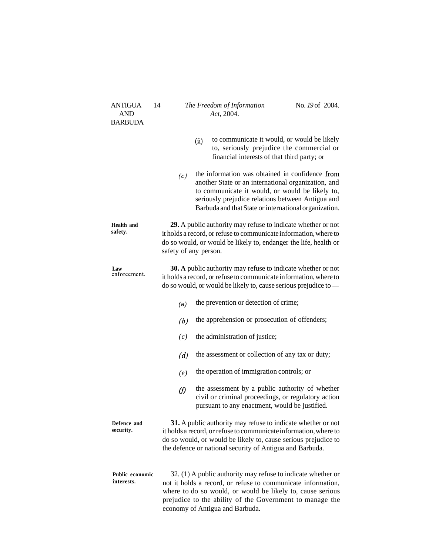| ANTIGUA<br><b>AND</b><br><b>BARBUDA</b> | 14          | The Freedom of Information<br>Act, 2004.                                                                                                                                                                                                                                                  | No. 19 of 2004. |  |
|-----------------------------------------|-------------|-------------------------------------------------------------------------------------------------------------------------------------------------------------------------------------------------------------------------------------------------------------------------------------------|-----------------|--|
|                                         |             | to communicate it would, or would be likely<br>(ii)<br>to, seriously prejudice the commercial or<br>financial interests of that third party; or                                                                                                                                           |                 |  |
|                                         | (c)         | the information was obtained in confidence from<br>another State or an international organization, and<br>to communicate it would, or would be likely to,<br>seriously prejudice relations between Antigua and<br>Barbuda and that State or international organization.                   |                 |  |
| Health and<br>safety.                   |             | 29. A public authority may refuse to indicate whether or not<br>it holds a record, or refuse to communicate information, where to<br>do so would, or would be likely to, endanger the life, health or<br>safety of any person.                                                            |                 |  |
| Law<br>enforcement.                     |             | 30. A public authority may refuse to indicate whether or not<br>it holds a record, or refuse to communicate information, where to<br>do so would, or would be likely to, cause serious prejudice to —                                                                                     |                 |  |
|                                         | (a)         | the prevention or detection of crime;                                                                                                                                                                                                                                                     |                 |  |
|                                         | (b)         | the apprehension or prosecution of offenders;                                                                                                                                                                                                                                             |                 |  |
|                                         | (c)         | the administration of justice;                                                                                                                                                                                                                                                            |                 |  |
|                                         | (d)         | the assessment or collection of any tax or duty;                                                                                                                                                                                                                                          |                 |  |
|                                         | (e)         | the operation of immigration controls; or                                                                                                                                                                                                                                                 |                 |  |
|                                         | $\vartheta$ | the assessment by a public authority of whether<br>civil or criminal proceedings, or regulatory action<br>pursuant to any enactment, would be justified.                                                                                                                                  |                 |  |
| Defence and<br>security.                |             | 31. A public authority may refuse to indicate whether or not<br>it holds a record, or refuse to communicate information, where to<br>do so would, or would be likely to, cause serious prejudice to<br>the defence or national security of Antigua and Barbuda.                           |                 |  |
| Public economic<br>interests.           |             | 32. (1) A public authority may refuse to indicate whether or<br>not it holds a record, or refuse to communicate information,<br>where to do so would, or would be likely to, cause serious<br>prejudice to the ability of the Government to manage the<br>economy of Antigua and Barbuda. |                 |  |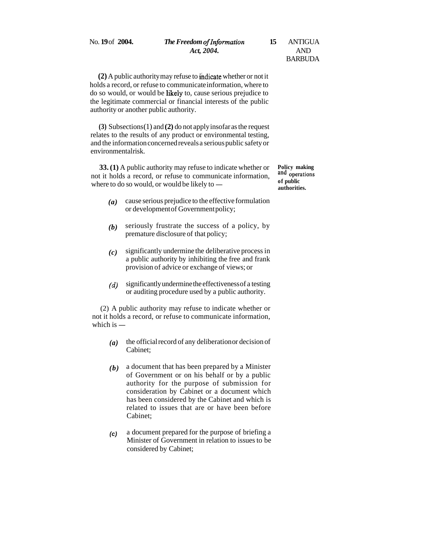# No. **19** of **2004.** *The Freedom oflnformation* **15** ANTIGUA *Act, 2004.* AND

# BARBUDA

**(2)** A public authority may refuse to ihdicate whether or not it holds a record, or refuse to communicate information, where to do so would, or would be likely to, cause serious prejudice to the legitimate commercial or financial interests of the public authority or another public authority.

**(3)** Subsections (1) and **(2)** do not apply insofar as the request relates to the results of any product or environmental testing, and the information concerned reveals a serious public safety or environmentalrisk.

**33. (1)** A public authority may refuse to indicate whether or **Policy making** t it holds a record or refuse to communicate information not it holds a record, or refuse to communicate information, **and**  33. (1) A public authority may refuse to indicate whether or<br>not it holds a record, or refuse to communicate information,<br>where to do so would, or would be likely to  $\frac{1}{\epsilon}$  of public<br>authorities

- *(a)* cause serious prejudice to the effective formulation or development of Government policy;
- *(b)* seriously frustrate the success of a policy, by premature disclosure of that policy;
- *(c)* significantly undermine the deliberative process in a public authority by inhibiting the free and frank provision of advice or exchange of views; or
- *(d)* significantly undermine the effectiveness of a testing or auditing procedure used by a public authority.

(2) A public authority may refuse to indicate whether or not it holds a record, or refuse to communicate information, (2) A publi<br>not it holds a i<br>which is  $-$ 

- *(a)* the official record of any deliberation or decision of Cabinet;
- *(b)* a document that has been prepared by a Minister of Government or on his behalf or by a public authority for the purpose of submission for consideration by Cabinet or a document which has been considered by the Cabinet and which is related to issues that are or have been before Cabinet;
- **(c)** a document prepared for the purpose of briefing a Minister of Government in relation to issues to be considered by Cabinet;

**authorities.**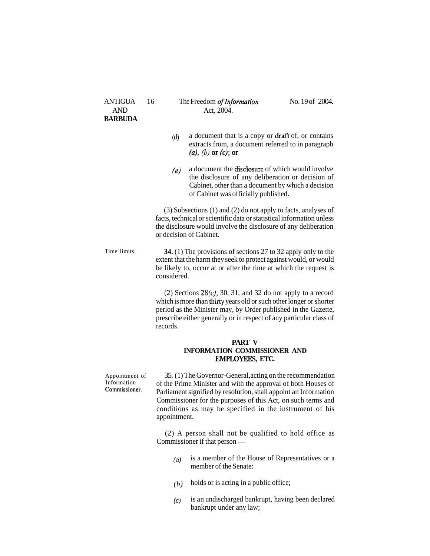#### ANTIGUA 16 The Freedom of Information- No. 19 of 2004. AND Act, 2004.

- (d) a document that is a copy or  $\text{draff}$  of, or contains extracts from, a document referred to in paragraph  $(a)$ ,  $(b)$  or  $(c)$ ; or
- $(e)$  a document the disclosure of which would involve the disclosure of any deliberation or decision of Cabinet, other than a document by which a decision of Cabinet was officially published.

(3) Subsections (1) and (2) do not apply to facts, analyses of facts, technical or scientific data or statistical information unless the disclosure would involve the disclosure of any deliberation or decision of Cabinet.

Time limits. **34.** (1) The provisions of sections 27 to 32 apply only to the extent that the harm they seek to protect against would, or would be likely to, occur at or after the time at which the request is considered.

> (2) Sections  $28(c)$ , 30, 31, and 32 do not apply to a record which is more than thirty years old or such other longer or shorter period as the Minister may, by Order published in the Gazette, prescribe either generally or in respect of any particular class of records.

#### **PART V INFORMATION COMMISSIONER AND**  EMPLOYEES, ETC.

Appointment of 35. (1) The Governor-General, acting on the recommendation<br>Information of the Prime Minister and with the approval of both Houses of Information of the Prime Minister and with the approval of both Houses of Commissioner. Declinear isonified by recelution shall appeint an Information Parliament signified by resolution, shall appoint an Information Commissioner for the purposes of this Act, on such terms and conditions as may be specified in the instrument of his appointment.

> (2) A person shall not be qualified to hold office as Commissioner if that person —

- (a) is a member of the House of Representatives or a member of the Senate:
- $(b)$  holds or is acting in a public office;
- (c) is an undischarged bankrupt, having been declared bankrupt under any law;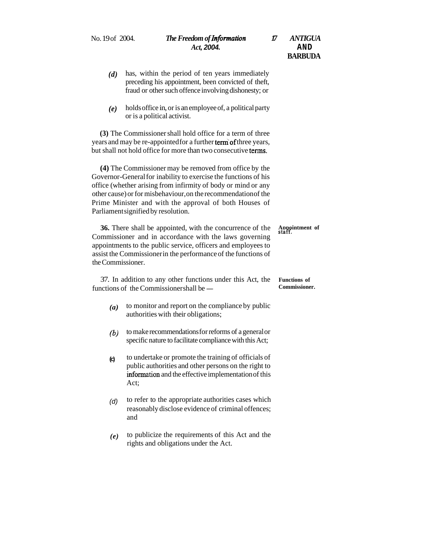- *(d)* has, within the period of ten years immediately preceding his appointment, been convicted of theft, fraud or other such offence involving dishonesty; or
- *(e)* holds office in, or is an employee of, a political party or is a political activist.

**(3)** The Commissioner shall hold office for a term of three years and may be re-appointed for a further term of three years, but shall not hold office for more than two consecutive terms.

**(4)** The Commissioner may be removed from office by the Governor-General for inability to exercise the functions of his office (whether arising from infirmity of body or mind or any other cause) or for misbehaviour, on the recommendation of the Prime Minister and with the approval of both Houses of Parliament signified by resolution.

**36.** There shall be appointed, with the concurrence of the **Appointment** of Commissioner and in accordance with the laws governing appointments to the public service, officers and employees to assist the Commissioner in the performance of the functions of the Commissioner.

37. In addition to any other functions under this Act, the **Functions of**  37. In addition to any other functions under this Act, the Functions of functions of the Commissionershall be — Commissioner.

- *(a)* to monitor and report on the compliance by public authorities with their obligations;
- *(b)* to make recommendations for reforms of a general or specific nature to facilitate compliance with this Act;
- **(c)** to undertake or promote the training of officials of public authorities and other persons on the right to information and the effective implementation of this Act;
- $(d)$  to refer to the appropriate authorities cases which reasonably disclose evidence of criminal offences; and
- *(e)* to publicize the requirements of this Act and the rights and obligations under the Act.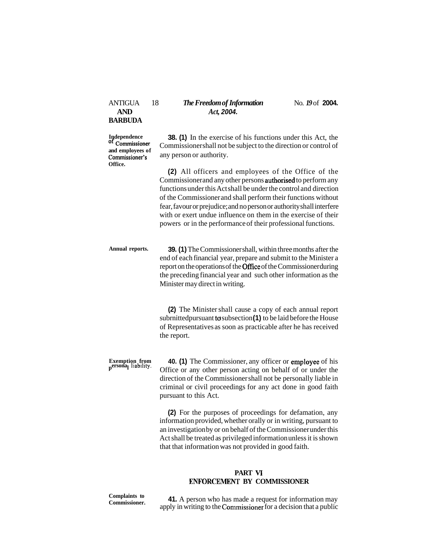**and employees of Office.** 

ANTIGUA 18 *The Freedom of Information* No. 19 of 2004.<br>AND Act. 2004. **AND** *Act,* **2004.** 

**Independence 38. (1)** In the exercise of his functions under this Act, the **of Commissioner** Commissionershall not be subject to the direction or control of Commissioner shall not be subject to the direction or control of any person or authority.

> **(2)** All officers and employees of the Office of the Commissioner and any other persons authorised to perform any functions under this Act shall be under the control and direction of the Commissioner and shall perform their functions without fear, favour or prejudice; and no person or authority shall interfere with or exert undue influence on them in the exercise of their powers or in the performance of their professional functions.

**Annual reports. 39. (1)** The Commissioner shall, within three months after the end of each financial year, prepare and submit to the Minister a report on the operations of the Office of the Commissioner during the preceding financial year and such other information as the Minister may direct in writing.

> **(2)** The Minister shall cause a copy of each annual report subrnittedpursuant to subsection (1) to be laid before the House of Representatives as soon as practicable after he has received the report.

**Exemption from 40. (1)** The Commissioner, any officer or employee of his personal liability. Office or any other person acting on behalf of or under the direction of the Commissioner shall not be personally liable in criminal or civil proceedings for any act done in good faith pursuant to this Act.

> **(2)** For the purposes of proceedings for defamation, any information provided, whether orally or in writing, pursuant to an investigation by or on behalf of the Commissioner under this Act shall be treated as privileged information unless it is shown that that information was not provided in good faith.

#### **PART VI ENFORCEMENT BY COMMISSIONER**

**Complaints to 41.** A person who has made a request for information may commissioner. **41.** A person who has made a request for a decision that a public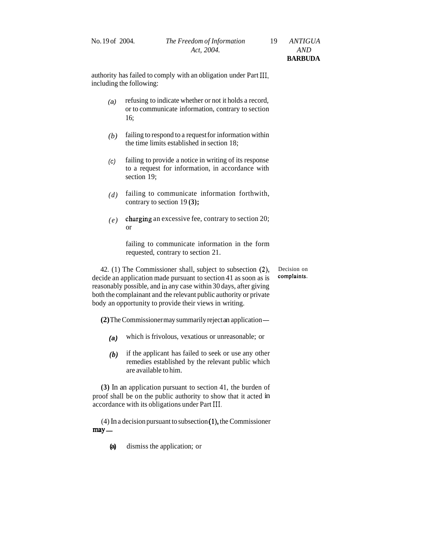authority has failed to comply with an obligation under Part 111, including the following:

- (a) refusing to indicate whether or not it holds a record, or to communicate information, contrary to section 16;
- *(b)* failing to respond to a request for information within the time limits established in section 18;
- $(c)$  failing to provide a notice in writing of its response to a request for information, in accordance with section 19;
- *(d)* failing to communicate information forthwith, contrary to section 19 **(3);**
- $(e)$  charging an excessive fee, contrary to section 20; or

failing to communicate information in the form requested, contrary to section 21.

42. (1) The Commissioner shall, subject to subsection  $(2)$ , Decision on cide an application made pursuant to section  $(4)$  as soon as is **complaints**. decide an application made pursuant to section 41 as soon as is reasonably possible, and in any case within 30 days, after giving both the complainant and the relevant public authority or private body an opportunity to provide their views in writing.

**(2)** The Commissioner may summarily reject an application -

- **(a)** which is frivolous, vexatious or unreasonable; or
- *(b)* if the applicant has failed to seek or use any other remedies established by the relevant public which are available to him.

**(3)** In an application pursuant to section 41, the burden of proof shall be on the public authority to show that it acted in accordance with its obligations under Part **111.** 

 $(4)$  In a decision pursuant to subsection  $(1)$ , the Commissioner  $(4)$  In a<br>**may** —

**(a)** dismiss the application; or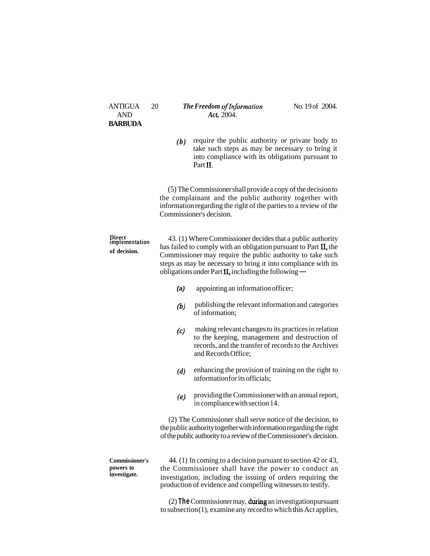| <b>ANTIGUA</b><br><b>AND</b>                       | 20  | No. 19 of 2004.<br>The Freedom of Information<br>Act, 2004.                                                                                                                                                                                                                                                                |  |  |
|----------------------------------------------------|-----|----------------------------------------------------------------------------------------------------------------------------------------------------------------------------------------------------------------------------------------------------------------------------------------------------------------------------|--|--|
| <b>BARBUDA</b>                                     |     |                                                                                                                                                                                                                                                                                                                            |  |  |
|                                                    | (b) | require the public authority or private body to<br>take such steps as may be necessary to bring it<br>into compliance with its obligations pursuant to<br>Part II.                                                                                                                                                         |  |  |
|                                                    |     | (5) The Commissioner shall provide a copy of the decision to<br>the complainant and the public authority together with<br>information regarding the right of the parties to a review of the<br>Commissioner's decision.                                                                                                    |  |  |
| Direct<br>implementation<br>of decision.           |     | 43. (1) Where Commissioner decides that a public authority<br>has failed to comply with an obligation pursuant to Part II, the<br>Commissioner may require the public authority to take such<br>steps as may be necessary to bring it into compliance with its<br>obligations under Part $\Pi$ , including the following — |  |  |
|                                                    | (a) | appointing an information officer;                                                                                                                                                                                                                                                                                         |  |  |
|                                                    | (b) | publishing the relevant information and categories<br>of information;                                                                                                                                                                                                                                                      |  |  |
|                                                    | (c) | making relevant changes to its practices in relation<br>to the keeping, management and destruction of<br>records, and the transfer of records to the Archives<br>and Records Office;                                                                                                                                       |  |  |
|                                                    | (d) | enhancing the provision of training on the right to<br>information for its officials;                                                                                                                                                                                                                                      |  |  |
|                                                    | (e) | providing the Commissioner with an annual report,<br>in compliance with section 14.                                                                                                                                                                                                                                        |  |  |
|                                                    |     | (2) The Commissioner shall serve notice of the decision, to<br>the public authority together with information regarding the right<br>of the public authority to a review of the Commissioner's decision.                                                                                                                   |  |  |
| <b>Commissioner's</b><br>powers to<br>investigate. |     | 44. (1) In coming to a decision pursuant to section 42 or 43,<br>the Commissioner shall have the power to conduct an<br>investigation, including the issuing of orders requiring the<br>production of evidence and compelling witnesses to testify.                                                                        |  |  |

(2) **The Commissioner may, during an investigation pursuant** to subsection (1), examine any record to which this Act applies,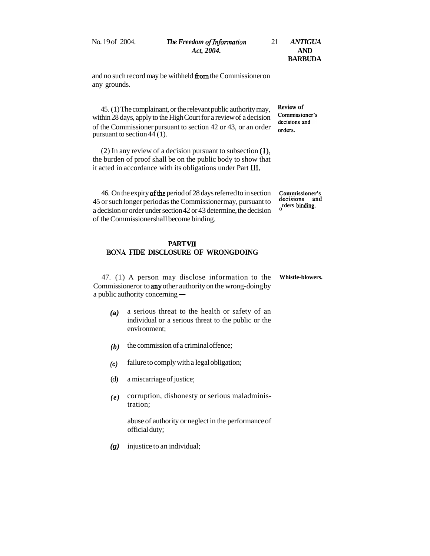| No. 19 of 2004. | The Freedom of Information | ANTIGUA        |
|-----------------|----------------------------|----------------|
|                 | Act. 2004.                 | AND            |
|                 |                            | <b>BARBUDA</b> |

and no such record may be withheld from the Commissioner on any grounds.

45. (1) The complainant, or the relevant public authority may, **Review of**  within 28 days, apply to the High Court for a review of a decision **Commissione**: of the Commissioner pursuant to section 42 or 43, or an order **orders.**  pursuant to section  $44(1)$ .

(2) In any review of a decision pursuant to subsection (I), the burden of proof shall be on the public body to show that it acted in accordance with its obligations under Part 111.

46. On the expiry ofthe period of 28 days referred to in section **Commissioner's**  45 or such longer period as the Commissioner may, pursuant to **decisions** at a decision or order vector 42 decision and **a**nd *decision* and *decision* and *decision* and *decision* and *decision decision* a decision or order under section 42 or 43 determine, the decision of the Commissioner shall become binding.

#### **PARTVII BONA FIDE DISCLOSURE OF WRONGDOING**

47. (1) A person may disclose information to the **Whistle-blowers.**  Commissioner or to any other authority on the wrong-doing by 47. (1) A person may discl<br>Commissioneror to **any** other author<br>a public authority concerning —

- **(a)** a serious threat to the health or safety of an individual or a serious threat to the public or the environment;
- **the commission of a criminal offence;**
- **(c)** failure to comply with a legal obligation;
- (d) a miscarriage of justice;
- *(e)* corruption, dishonesty or serious maladministration;

abuse of authority or neglect in the performance of official duty;

**(g)** injustice to an individual;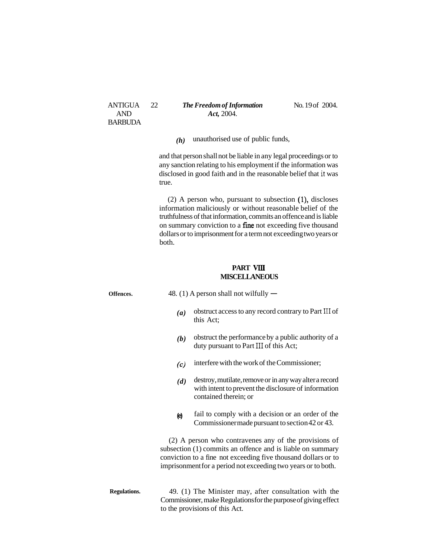ANTIGUA 22 **The Freedom of Information** No. 19 of 2004. AND *Act,* 2004.

*(h)* unauthorised use of public funds,

and that person shall not be liable in any legal proceedings or to any sanction relating to his employment if the information was disclosed in good faith and in the reasonable belief that **it** was true.

(2) A person who, pursuant to subsection (I), discloses information maliciously or without reasonable belief of the truthfulness of that information, commits an offence and is liable on summary conviction to a fine not exceeding five thousand dollars or to imprisonment for a term not exceeding two years or both.

# **PART** VIII **MISCELLANEOUS**

|                     | MISCELLANEOUS                           |                                                                                                                                                                                                                                                        |  |
|---------------------|-----------------------------------------|--------------------------------------------------------------------------------------------------------------------------------------------------------------------------------------------------------------------------------------------------------|--|
| Offences.           | 48. (1) A person shall not wilfully $-$ |                                                                                                                                                                                                                                                        |  |
|                     | (a)                                     | obstruct access to any record contrary to Part III of<br>this Act;                                                                                                                                                                                     |  |
|                     | (b)                                     | obstruct the performance by a public authority of a<br>duty pursuant to Part III of this Act;                                                                                                                                                          |  |
|                     | (c)                                     | interfere with the work of the Commissioner;                                                                                                                                                                                                           |  |
|                     | (d)                                     | destroy, mutilate, remove or in any way alter a record<br>with intent to prevent the disclosure of information<br>contained therein; or                                                                                                                |  |
|                     | $\Theta$                                | fail to comply with a decision or an order of the<br>Commissionermade pursuant to section 42 or 43.                                                                                                                                                    |  |
|                     |                                         | (2) A person who contravenes any of the provisions of<br>subsection (1) commits an offence and is liable on summary<br>conviction to a fine not exceeding five thousand dollars or to<br>imprisonment for a period not exceeding two years or to both. |  |
| <b>Regulations.</b> |                                         | 49. (1) The Minister may, after consultation with the<br>Commissioner, make Regulations for the purpose of giving effect<br>to the provisions of this Act.                                                                                             |  |